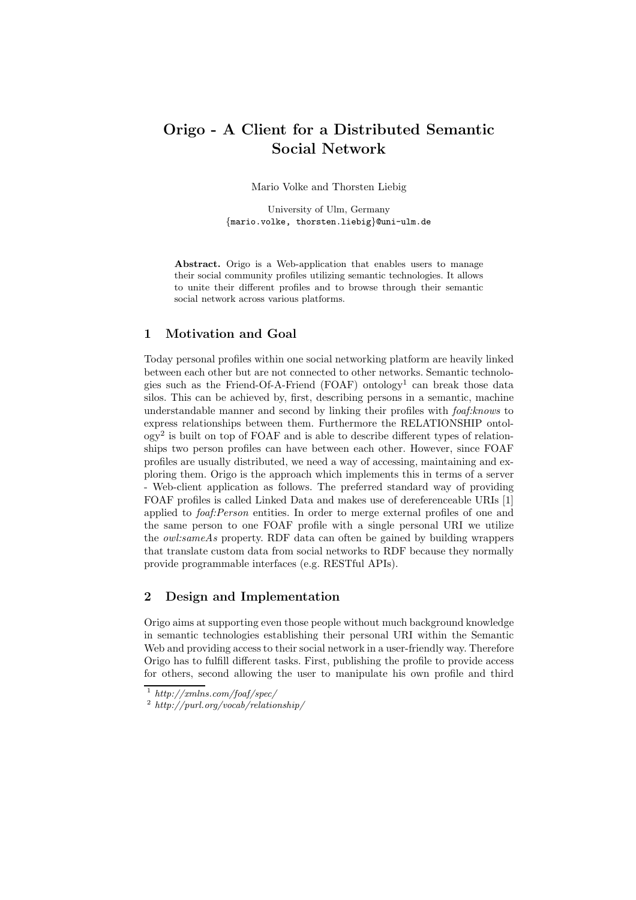## Origo - A Client for a Distributed Semantic Social Network

Mario Volke and Thorsten Liebig

University of Ulm, Germany {mario.volke, thorsten.liebig}@uni-ulm.de

Abstract. Origo is a Web-application that enables users to manage their social community profiles utilizing semantic technologies. It allows to unite their different profiles and to browse through their semantic social network across various platforms.

## 1 Motivation and Goal

Today personal profiles within one social networking platform are heavily linked between each other but are not connected to other networks. Semantic technologies such as the Friend-Of-A-Friend  $(FOAF)$  ontology<sup>1</sup> can break those data silos. This can be achieved by, first, describing persons in a semantic, machine understandable manner and second by linking their profiles with *foaf: knows* to express relationships between them. Furthermore the RELATIONSHIP ontol- $\log y^2$  is built on top of FOAF and is able to describe different types of relationships two person profiles can have between each other. However, since FOAF profiles are usually distributed, we need a way of accessing, maintaining and exploring them. Origo is the approach which implements this in terms of a server - Web-client application as follows. The preferred standard way of providing FOAF profiles is called Linked Data and makes use of dereferenceable URIs [1] applied to *foaf:Person* entities. In order to merge external profiles of one and the same person to one FOAF profile with a single personal URI we utilize the owl:sameAs property. RDF data can often be gained by building wrappers that translate custom data from social networks to RDF because they normally provide programmable interfaces (e.g. RESTful APIs).

## 2 Design and Implementation

Origo aims at supporting even those people without much background knowledge in semantic technologies establishing their personal URI within the Semantic Web and providing access to their social network in a user-friendly way. Therefore Origo has to fulfill different tasks. First, publishing the profile to provide access for others, second allowing the user to manipulate his own profile and third

<sup>1</sup> http://xmlns.com/foaf/spec/

<sup>2</sup> http://purl.org/vocab/relationship/